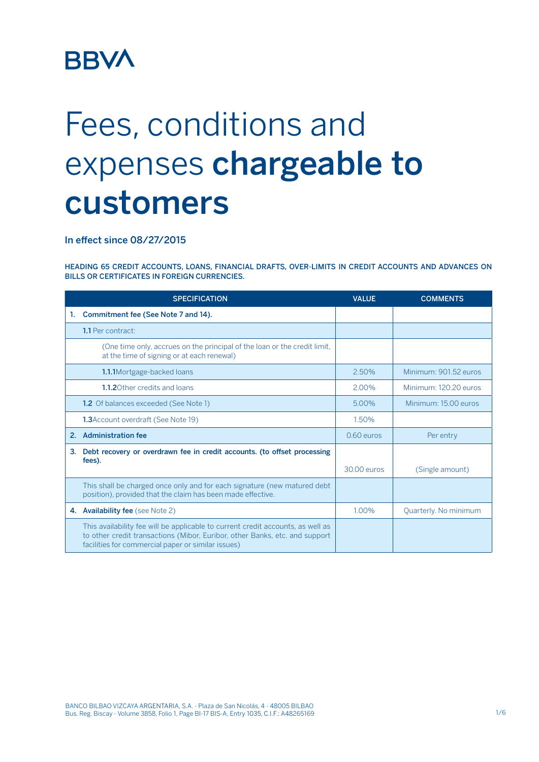# **BBVA**

# Fees, conditions and expenses chargeable to customers

In effect since 08/27/2015

HEADING 65 CREDIT ACCOUNTS, LOANS, FINANCIAL DRAFTS, OVER-LIMITS IN CREDIT ACCOUNTS AND ADVANCES ON BILLS OR CERTIFICATES IN FOREIGN CURRENCIES.

|    | <b>SPECIFICATION</b>                                                                                                                                                                                                 | <b>VALUE</b> | <b>COMMENTS</b>       |
|----|----------------------------------------------------------------------------------------------------------------------------------------------------------------------------------------------------------------------|--------------|-----------------------|
| 1. | Commitment fee (See Note 7 and 14).                                                                                                                                                                                  |              |                       |
|    | 1.1 Per contract:                                                                                                                                                                                                    |              |                       |
|    | (One time only, accrues on the principal of the loan or the credit limit,<br>at the time of signing or at each renewal)                                                                                              |              |                       |
|    | 1.1.1Mortgage-backed loans                                                                                                                                                                                           | 2.50%        | Minimum: 901.52 euros |
|    | 1.1.20 ther credits and loans                                                                                                                                                                                        | 2.00%        | Minimum: 120.20 euros |
|    | <b>1.2</b> Of balances exceeded (See Note 1)                                                                                                                                                                         | 5.00%        | Minimum: 15.00 euros  |
|    | <b>1.3</b> Account overdraft (See Note 19)                                                                                                                                                                           | 1.50%        |                       |
|    | 2. Administration fee                                                                                                                                                                                                | $0.60$ euros | Per entry             |
| 3. | Debt recovery or overdrawn fee in credit accounts. (to offset processing<br>fees).                                                                                                                                   | 30.00 euros  | (Single amount)       |
|    | This shall be charged once only and for each signature (new matured debt<br>position), provided that the claim has been made effective.                                                                              |              |                       |
|    | 4. Availability fee (see Note 2)                                                                                                                                                                                     | 1.00%        | Quarterly. No minimum |
|    | This availability fee will be applicable to current credit accounts, as well as<br>to other credit transactions (Mibor, Euribor, other Banks, etc. and support<br>facilities for commercial paper or similar issues) |              |                       |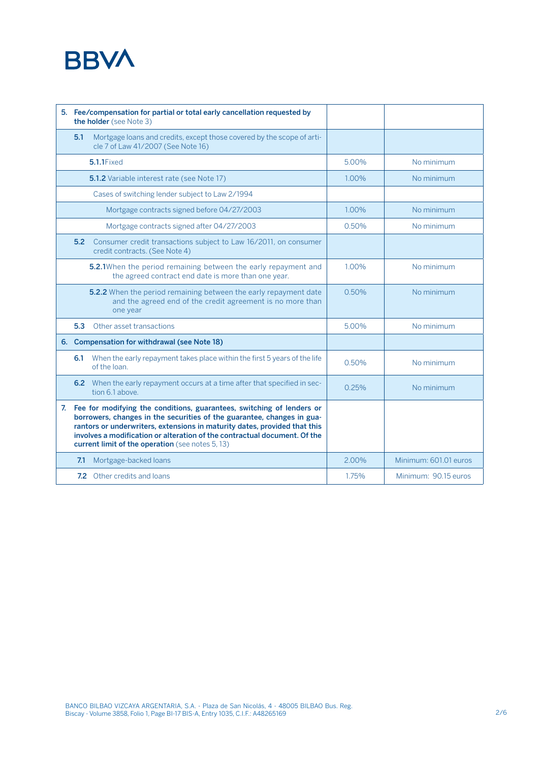## **BBVA**

| 5. Fee/compensation for partial or total early cancellation requested by<br>the holder (see Note 3) |                                                                                                                                                                                                                                                                                                                                                                  |       |                       |
|-----------------------------------------------------------------------------------------------------|------------------------------------------------------------------------------------------------------------------------------------------------------------------------------------------------------------------------------------------------------------------------------------------------------------------------------------------------------------------|-------|-----------------------|
| 5.1                                                                                                 | Mortgage loans and credits, except those covered by the scope of arti-<br>cle 7 of Law 41/2007 (See Note 16)                                                                                                                                                                                                                                                     |       |                       |
|                                                                                                     | 5.1.1Fixed                                                                                                                                                                                                                                                                                                                                                       | 5.00% | No minimum            |
|                                                                                                     | <b>5.1.2</b> Variable interest rate (see Note 17)                                                                                                                                                                                                                                                                                                                | 1.00% | No minimum            |
|                                                                                                     | Cases of switching lender subject to Law 2/1994                                                                                                                                                                                                                                                                                                                  |       |                       |
|                                                                                                     | Mortgage contracts signed before 04/27/2003                                                                                                                                                                                                                                                                                                                      | 1.00% | No minimum            |
|                                                                                                     | Mortgage contracts signed after 04/27/2003                                                                                                                                                                                                                                                                                                                       | 0.50% | No minimum            |
| 5.2                                                                                                 | Consumer credit transactions subject to Law 16/2011, on consumer<br>credit contracts. (See Note 4)                                                                                                                                                                                                                                                               |       |                       |
|                                                                                                     | 5.2.1When the period remaining between the early repayment and<br>the agreed contract end date is more than one year.                                                                                                                                                                                                                                            | 1.00% | No minimum            |
|                                                                                                     | 5.2.2 When the period remaining between the early repayment date<br>and the agreed end of the credit agreement is no more than<br>one year                                                                                                                                                                                                                       | 0.50% | No minimum            |
| 5.3                                                                                                 | Other asset transactions                                                                                                                                                                                                                                                                                                                                         | 5.00% | No minimum            |
|                                                                                                     | 6. Compensation for withdrawal (see Note 18)                                                                                                                                                                                                                                                                                                                     |       |                       |
| 6.1                                                                                                 | When the early repayment takes place within the first 5 years of the life<br>of the loan.                                                                                                                                                                                                                                                                        | 0.50% | No minimum            |
|                                                                                                     | 6.2 When the early repayment occurs at a time after that specified in sec-<br>tion 6.1 above.                                                                                                                                                                                                                                                                    | 0.25% | No minimum            |
|                                                                                                     | 7. Fee for modifying the conditions, guarantees, switching of lenders or<br>borrowers, changes in the securities of the guarantee, changes in gua-<br>rantors or underwriters, extensions in maturity dates, provided that this<br>involves a modification or alteration of the contractual document. Of the<br>current limit of the operation (see notes 5, 13) |       |                       |
| 7.1                                                                                                 | Mortgage-backed loans                                                                                                                                                                                                                                                                                                                                            | 2.00% | Minimum: 601.01 euros |
|                                                                                                     | 7.2 Other credits and loans                                                                                                                                                                                                                                                                                                                                      | 1.75% | Minimum: 90.15 euros  |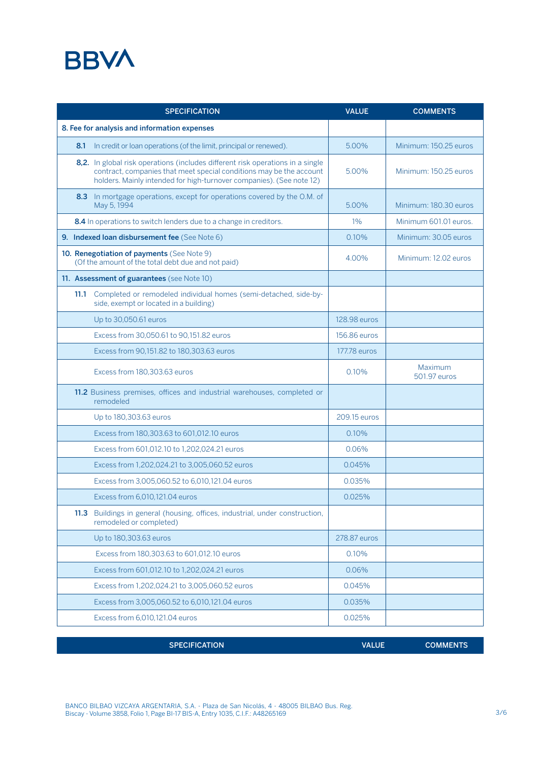### **BBVA**

| <b>SPECIFICATION</b>                                                                                                                                                                                                          | <b>VALUE</b> | <b>COMMENTS</b>         |
|-------------------------------------------------------------------------------------------------------------------------------------------------------------------------------------------------------------------------------|--------------|-------------------------|
| 8. Fee for analysis and information expenses                                                                                                                                                                                  |              |                         |
| In credit or loan operations (of the limit, principal or renewed).<br>8.1                                                                                                                                                     | 5.00%        | Minimum: 150.25 euros   |
| 8,2. In global risk operations (includes different risk operations in a single<br>contract, companies that meet special conditions may be the account<br>holders. Mainly intended for high-turnover companies). (See note 12) | 5.00%        | Minimum: 150.25 euros   |
| In mortgage operations, except for operations covered by the O.M. of<br>8.3<br>May 5, 1994                                                                                                                                    | 5.00%        | Minimum: 180.30 euros   |
| 8.4 In operations to switch lenders due to a change in creditors.                                                                                                                                                             | $1\%$        | Minimum 601.01 euros.   |
| 9. Indexed Ioan disbursement fee (See Note 6)                                                                                                                                                                                 | 0.10%        | Minimum: 30.05 euros    |
| 10. Renegotiation of payments (See Note 9)<br>(Of the amount of the total debt due and not paid)                                                                                                                              | 4.00%        | Minimum: 12.02 euros    |
| 11. Assessment of guarantees (see Note 10)                                                                                                                                                                                    |              |                         |
| Completed or remodeled individual homes (semi-detached, side-by-<br>11.1<br>side, exempt or located in a building)                                                                                                            |              |                         |
| Up to 30,050.61 euros                                                                                                                                                                                                         | 128.98 euros |                         |
| Excess from 30,050.61 to 90,151.82 euros                                                                                                                                                                                      | 156.86 euros |                         |
| Excess from 90,151.82 to 180,303.63 euros                                                                                                                                                                                     | 177.78 euros |                         |
| Excess from 180,303.63 euros                                                                                                                                                                                                  | 0.10%        | Maximum<br>501.97 euros |
| 11.2 Business premises, offices and industrial warehouses, completed or<br>remodeled                                                                                                                                          |              |                         |
| Up to 180,303.63 euros                                                                                                                                                                                                        | 209.15 euros |                         |
| Excess from 180,303.63 to 601,012.10 euros                                                                                                                                                                                    | 0.10%        |                         |
| Excess from 601,012.10 to 1,202,024.21 euros                                                                                                                                                                                  | 0.06%        |                         |
| Excess from 1,202,024.21 to 3,005,060.52 euros                                                                                                                                                                                | 0.045%       |                         |
| Excess from 3,005,060.52 to 6,010,121.04 euros                                                                                                                                                                                | 0.035%       |                         |
| Excess from 6,010,121.04 euros                                                                                                                                                                                                | 0.025%       |                         |
| 11.3 Buildings in general (housing, offices, industrial, under construction,<br>remodeled or completed)                                                                                                                       |              |                         |
| Up to 180,303.63 euros                                                                                                                                                                                                        | 278.87 euros |                         |
| Excess from 180,303.63 to 601,012.10 euros                                                                                                                                                                                    | 0.10%        |                         |
| Excess from 601,012.10 to 1,202,024.21 euros                                                                                                                                                                                  | 0.06%        |                         |
| Excess from 1,202,024.21 to 3,005,060.52 euros                                                                                                                                                                                | 0.045%       |                         |
| Excess from 3,005,060.52 to 6,010,121.04 euros                                                                                                                                                                                | 0.035%       |                         |
| Excess from 6,010,121.04 euros                                                                                                                                                                                                | 0.025%       |                         |

SPECIFICATION **EXECUTE COMMENTS** 

BANCO BILBAO VIZCAYA ARGENTARIA, S.A. - Plaza de San Nicolás, 4 - 48005 BILBAO Bus. Reg.<br>Biscay - Volume 3858, Folio 1, Page BI-17 BIS-A, Entry 1035, C.I.F.: A48265169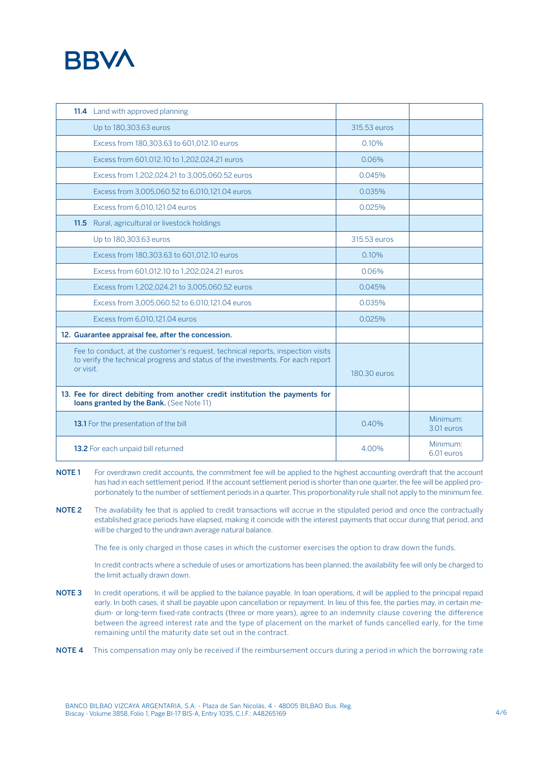

| 11.4 Land with approved planning                                                                                                                                                |              |                        |
|---------------------------------------------------------------------------------------------------------------------------------------------------------------------------------|--------------|------------------------|
| Up to 180, 303.63 euros                                                                                                                                                         | 315.53 euros |                        |
| Excess from 180,303.63 to 601,012.10 euros                                                                                                                                      | 0.10%        |                        |
| Excess from 601,012.10 to 1,202,024.21 euros                                                                                                                                    | 0.06%        |                        |
| Excess from 1,202,024.21 to 3,005,060.52 euros                                                                                                                                  | 0.045%       |                        |
| Excess from 3,005,060.52 to 6,010,121.04 euros                                                                                                                                  | 0.035%       |                        |
| Excess from 6,010,121.04 euros                                                                                                                                                  | 0.025%       |                        |
| 11.5 Rural, agricultural or livestock holdings                                                                                                                                  |              |                        |
| Up to 180,303.63 euros                                                                                                                                                          | 315.53 euros |                        |
| Excess from 180,303.63 to 601,012.10 euros                                                                                                                                      | 0.10%        |                        |
| Excess from 601,012.10 to 1,202,024.21 euros                                                                                                                                    | 0.06%        |                        |
| Excess from 1,202,024.21 to 3,005,060.52 euros                                                                                                                                  | 0.045%       |                        |
| Excess from 3,005,060.52 to 6,010,121.04 euros                                                                                                                                  | 0.035%       |                        |
| Excess from 6,010,121.04 euros                                                                                                                                                  | 0.025%       |                        |
| 12. Guarantee appraisal fee, after the concession.                                                                                                                              |              |                        |
| Fee to conduct, at the customer's request, technical reports, inspection visits<br>to verify the technical progress and status of the investments. For each report<br>or visit. | 180.30 euros |                        |
| 13. Fee for direct debiting from another credit institution the payments for<br>loans granted by the Bank. (See Note 11)                                                        |              |                        |
| 13.1 For the presentation of the bill                                                                                                                                           | 0.40%        | Minimum:<br>3.01 euros |
| 13.2 For each unpaid bill returned                                                                                                                                              | 4.00%        | Minimum:<br>6.01 euros |

- NOTE 1 For overdrawn credit accounts, the commitment fee will be applied to the highest accounting overdraft that the account has had in each settlement period. If the account settlement period is shorter than one quarter, the fee will be applied proportionately to the number of settlement periods in a quarter. This proportionality rule shall not apply to the minimum fee.
- NOTE 2 The availability fee that is applied to credit transactions will accrue in the stipulated period and once the contractually established grace periods have elapsed, making it coincide with the interest payments that occur during that period, and will be charged to the undrawn average natural balance.

The fee is only charged in those cases in which the customer exercises the option to draw down the funds.

 In credit contracts where a schedule of uses or amortizations has been planned, the availability fee will only be charged to the limit actually drawn down.

- NOTE 3 In credit operations, it will be applied to the balance payable. In loan operations, it will be applied to the principal repaid early. In both cases, it shall be payable upon cancellation or repayment. In lieu of this fee, the parties may, in certain medium- or long-term fixed-rate contracts (three or more years), agree to an indemnity clause covering the difference between the agreed interest rate and the type of placement on the market of funds cancelled early, for the time remaining until the maturity date set out in the contract.
- NOTE 4 This compensation may only be received if the reimbursement occurs during a period in which the borrowing rate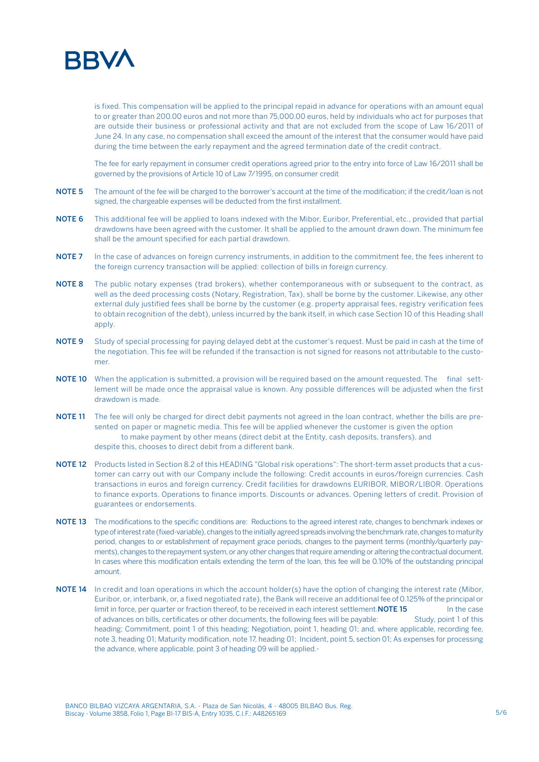

is fixed. This compensation will be applied to the principal repaid in advance for operations with an amount equal to or greater than 200.00 euros and not more than 75,000.00 euros, held by individuals who act for purposes that are outside their business or professional activity and that are not excluded from the scope of Law 16/2011 of June 24. In any case, no compensation shall exceed the amount of the interest that the consumer would have paid during the time between the early repayment and the agreed termination date of the credit contract.

 The fee for early repayment in consumer credit operations agreed prior to the entry into force of Law 16/2011 shall be governed by the provisions of Article 10 of Law 7/1995, on consumer credit

- NOTE 5 The amount of the fee will be charged to the borrower's account at the time of the modification; if the credit/loan is not signed, the chargeable expenses will be deducted from the first installment.
- NOTE 6 This additional fee will be applied to loans indexed with the Mibor, Euribor, Preferential, etc., provided that partial drawdowns have been agreed with the customer. It shall be applied to the amount drawn down. The minimum fee shall be the amount specified for each partial drawdown.
- NOTE 7 In the case of advances on foreign currency instruments, in addition to the commitment fee, the fees inherent to the foreign currency transaction will be applied: collection of bills in foreign currency.
- NOTE 8 The public notary expenses (trad brokers), whether contemporaneous with or subsequent to the contract, as well as the deed processing costs (Notary, Registration, Tax), shall be borne by the customer. Likewise, any other external duly justified fees shall be borne by the customer (e.g. property appraisal fees, registry verification fees to obtain recognition of the debt), unless incurred by the bank itself, in which case Section 10 of this Heading shall apply.
- NOTE 9 Study of special processing for paying delayed debt at the customer's request. Must be paid in cash at the time of the negotiation. This fee will be refunded if the transaction is not signed for reasons not attributable to the customer.
- NOTE 10 When the application is submitted, a provision will be required based on the amount requested. The final settlement will be made once the appraisal value is known. Any possible differences will be adjusted when the first drawdown is made.
- NOTE 11 The fee will only be charged for direct debit payments not agreed in the loan contract, whether the bills are presented on paper or magnetic media. This fee will be applied whenever the customer is given the option to make payment by other means (direct debit at the Entity, cash deposits, transfers), and despite this, chooses to direct debit from a different bank.
- NOTE 12 Products listed in Section 8.2 of this HEADING "Global risk operations": The short-term asset products that a customer can carry out with our Company include the following: Credit accounts in euros/foreign currencies. Cash transactions in euros and foreign currency. Credit facilities for drawdowns EURIBOR, MIBOR/LIBOR. Operations to finance exports. Operations to finance imports. Discounts or advances. Opening letters of credit. Provision of guarantees or endorsements.
- NOTE 13 The modifications to the specific conditions are: Reductions to the agreed interest rate, changes to benchmark indexes or type of interest rate (fixed-variable), changes to the initially agreed spreads involving the benchmark rate, changes to maturity period, changes to or establishment of repayment grace periods, changes to the payment terms (monthly/quarterly payments), changes to the repayment system, or any other changes that require amending or altering the contractual document. In cases where this modification entails extending the term of the loan, this fee will be 0.10% of the outstanding principal amount.
- NOTE 14 In credit and loan operations in which the account holder(s) have the option of changing the interest rate (Mibor, Euribor, or, interbank, or, a fixed negotiated rate), the Bank will receive an additional fee of 0.125% of the principal or limit in force, per quarter or fraction thereof, to be received in each interest settlement. NOTE 15 In the case of advances on bills, certificates or other documents, the following fees will be payable: Study, point 1 of this heading; Commitment, point 1 of this heading; Negotiation, point 1, heading 01; and, where applicable, recording fee, note 3, heading 01; Maturity modification, note 17, heading 01; Incident, point 5, section 01; As expenses for processing the advance, where applicable, point 3 of heading 09 will be applied.-